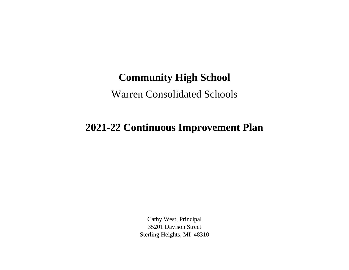## **Community High School**

## Warren Consolidated Schools

## **2021-22 Continuous Improvement Plan**

Cathy West, Principal 35201 Davison Street Sterling Heights, MI 48310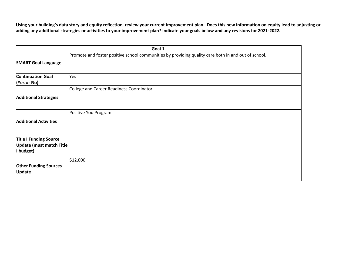**Using your building's data story and equity reflection, review your current improvement plan. Does this new information on equity lead to adjusting or adding any additional strategies or activities to your improvement plan? Indicate your goals below and any revisions for 2021-2022.**

| Goal 1                                                                        |                                                                                                     |  |
|-------------------------------------------------------------------------------|-----------------------------------------------------------------------------------------------------|--|
| <b>SMART Goal Language</b>                                                    | Promote and foster positive school communities by providing quality care both in and out of school. |  |
| <b>Continuation Goal</b><br>(Yes or No)                                       | Yes                                                                                                 |  |
| <b>Additional Strategies</b>                                                  | College and Career Readiness Coordinator                                                            |  |
| <b>Additional Activities</b>                                                  | Positive You Program                                                                                |  |
| <b>Title I Funding Source</b><br><b>Update (must match Title</b><br>I budget) |                                                                                                     |  |
| <b>Other Funding Sources</b><br><b>Update</b>                                 | \$12,000                                                                                            |  |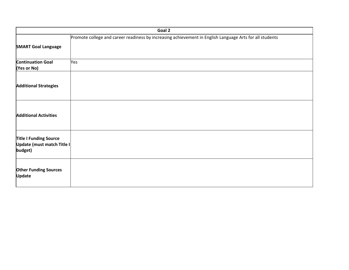|                                                                        | Goal 2                                                                                                   |
|------------------------------------------------------------------------|----------------------------------------------------------------------------------------------------------|
|                                                                        | Promote college and career readiness by increasing achievement in English Language Arts for all students |
| <b>SMART Goal Language</b>                                             |                                                                                                          |
| <b>Continuation Goal</b><br>(Yes or No)                                | Yes                                                                                                      |
| <b>Additional Strategies</b>                                           |                                                                                                          |
| <b>Additional Activities</b>                                           |                                                                                                          |
| <b>Title I Funding Source</b><br>Update (must match Title I<br>budget) |                                                                                                          |
| <b>Other Funding Sources</b><br><b>Update</b>                          |                                                                                                          |